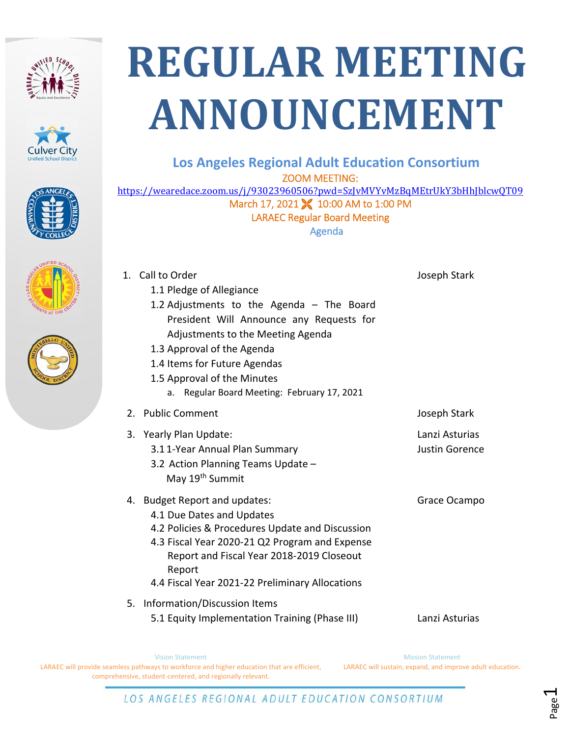







## **REGULAR MEETING ANNOUNCEMENT**

## **Los Angeles Regional Adult Education Consortium**

ZOOM MEETING:

https://wearedace.zoom.us/j/93023960506?pwd=SzJvMVYvMzBqMEtrUkY3bHhJblcwQT09 March 17, 2021 **X** 10:00 AM to 1:00 PM LARAEC Regular Board Meeting Agenda

| 1. Call to Order                                | Joseph Stark          |
|-------------------------------------------------|-----------------------|
| 1.1 Pledge of Allegiance                        |                       |
| 1.2 Adjustments to the Agenda - The Board       |                       |
| President Will Announce any Requests for        |                       |
| Adjustments to the Meeting Agenda               |                       |
| 1.3 Approval of the Agenda                      |                       |
| 1.4 Items for Future Agendas                    |                       |
| 1.5 Approval of the Minutes                     |                       |
| a. Regular Board Meeting: February 17, 2021     |                       |
| 2. Public Comment                               | Joseph Stark          |
| 3. Yearly Plan Update:                          | Lanzi Asturias        |
| 3.11-Year Annual Plan Summary                   | <b>Justin Gorence</b> |
| 3.2 Action Planning Teams Update -              |                       |
| May 19 <sup>th</sup> Summit                     |                       |
| 4. Budget Report and updates:                   | Grace Ocampo          |
| 4.1 Due Dates and Updates                       |                       |
| 4.2 Policies & Procedures Update and Discussion |                       |
| 4.3 Fiscal Year 2020-21 Q2 Program and Expense  |                       |
| Report and Fiscal Year 2018-2019 Closeout       |                       |
| Report                                          |                       |
| 4.4 Fiscal Year 2021-22 Preliminary Allocations |                       |
| 5. Information/Discussion Items                 |                       |
| 5.1 Equity Implementation Training (Phase III)  | Lanzi Asturias        |
|                                                 |                       |

Vision Statement LARAEC will provide seamless pathways to workforce and higher education that are efficient, comprehensive, student‐centered, and regionally relevant. Mission Statement LARAEC will sustain, expand, and improve adult education.

Page1